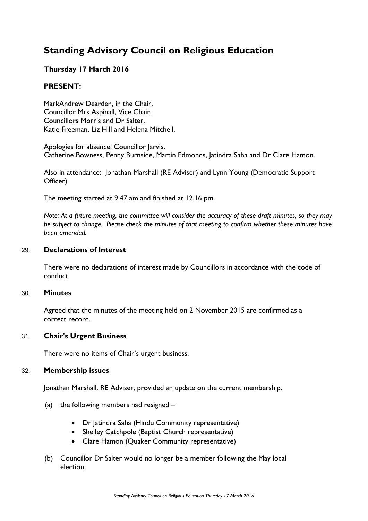# **Standing Advisory Council on Religious Education**

# **Thursday 17 March 2016**

# **PRESENT:**

MarkAndrew Dearden, in the Chair. Councillor Mrs Aspinall, Vice Chair. Councillors Morris and Dr Salter. Katie Freeman, Liz Hill and Helena Mitchell.

Apologies for absence: Councillor Jarvis. Catherine Bowness, Penny Burnside, Martin Edmonds, Jatindra Saha and Dr Clare Hamon.

Also in attendance: Jonathan Marshall (RE Adviser) and Lynn Young (Democratic Support Officer)

The meeting started at 9.47 am and finished at 12.16 pm.

Note: At a future meeting, the committee will consider the accuracy of these draft minutes, so they may *be subject to change. Please check the minutes of that meeting to confirm whether these minutes have been amended.*

# 29. **Declarations of Interest**

There were no declarations of interest made by Councillors in accordance with the code of conduct.

#### 30. **Minutes**

Agreed that the minutes of the meeting held on 2 November 2015 are confirmed as a correct record.

# 31. **Chair's Urgent Business**

There were no items of Chair's urgent business.

#### 32. **Membership issues**

Jonathan Marshall, RE Adviser, provided an update on the current membership.

- (a) the following members had resigned
	- Dr Jatindra Saha (Hindu Community representative)
	- Shelley Catchpole (Baptist Church representative)
	- Clare Hamon (Quaker Community representative)
- (b) Councillor Dr Salter would no longer be a member following the May local election;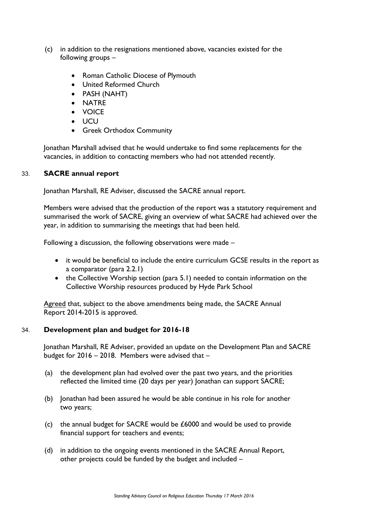- (c) in addition to the resignations mentioned above, vacancies existed for the following groups –
	- Roman Catholic Diocese of Plymouth
	- United Reformed Church
	- PASH (NAHT)
	- NATRE
	- VOICE
	- UCU
	- Greek Orthodox Community

Jonathan Marshall advised that he would undertake to find some replacements for the vacancies, in addition to contacting members who had not attended recently.

# 33. **SACRE annual report**

Jonathan Marshall, RE Adviser, discussed the SACRE annual report.

Members were advised that the production of the report was a statutory requirement and summarised the work of SACRE, giving an overview of what SACRE had achieved over the year, in addition to summarising the meetings that had been held.

Following a discussion, the following observations were made –

- it would be beneficial to include the entire curriculum GCSE results in the report as a comparator (para 2.2.1)
- the Collective Worship section (para 5.1) needed to contain information on the Collective Worship resources produced by Hyde Park School

Agreed that, subject to the above amendments being made, the SACRE Annual Report 2014-2015 is approved.

# 34. **Development plan and budget for 2016-18**

Jonathan Marshall, RE Adviser, provided an update on the Development Plan and SACRE budget for 2016 – 2018. Members were advised that –

- (a) the development plan had evolved over the past two years, and the priorities reflected the limited time (20 days per year) Jonathan can support SACRE;
- (b) Jonathan had been assured he would be able continue in his role for another two years;
- (c) the annual budget for SACRE would be £6000 and would be used to provide financial support for teachers and events;
- (d) in addition to the ongoing events mentioned in the SACRE Annual Report, other projects could be funded by the budget and included –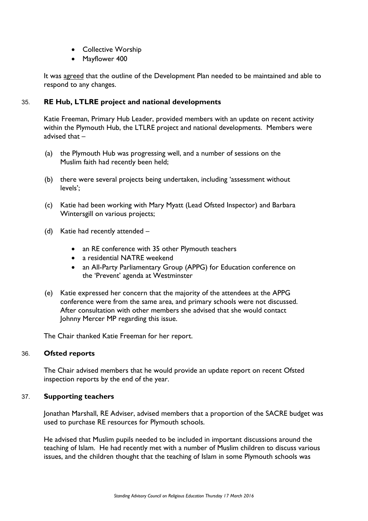- Collective Worship
- Mayflower 400

It was agreed that the outline of the Development Plan needed to be maintained and able to respond to any changes.

# 35. **RE Hub, LTLRE project and national developments**

Katie Freeman, Primary Hub Leader, provided members with an update on recent activity within the Plymouth Hub, the LTLRE project and national developments. Members were advised that –

- (a) the Plymouth Hub was progressing well, and a number of sessions on the Muslim faith had recently been held;
- (b) there were several projects being undertaken, including 'assessment without levels';
- (c) Katie had been working with Mary Myatt (Lead Ofsted Inspector) and Barbara Wintersgill on various projects;
- (d) Katie had recently attended
	- an RE conference with 35 other Plymouth teachers
	- a residential NATRE weekend
	- an All-Party Parliamentary Group (APPG) for Education conference on the 'Prevent' agenda at Westminster
- (e) Katie expressed her concern that the majority of the attendees at the APPG conference were from the same area, and primary schools were not discussed. After consultation with other members she advised that she would contact Johnny Mercer MP regarding this issue.

The Chair thanked Katie Freeman for her report.

# 36. **Ofsted reports**

The Chair advised members that he would provide an update report on recent Ofsted inspection reports by the end of the year.

# 37. **Supporting teachers**

Jonathan Marshall, RE Adviser, advised members that a proportion of the SACRE budget was used to purchase RE resources for Plymouth schools.

He advised that Muslim pupils needed to be included in important discussions around the teaching of Islam. He had recently met with a number of Muslim children to discuss various issues, and the children thought that the teaching of Islam in some Plymouth schools was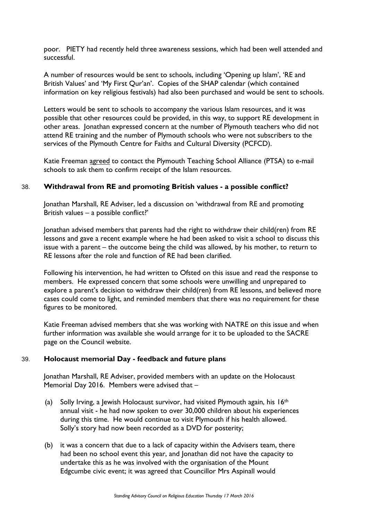poor. PIETY had recently held three awareness sessions, which had been well attended and successful.

A number of resources would be sent to schools, including 'Opening up Islam', 'RE and British Values' and 'My First Qur'an'. Copies of the SHAP calendar (which contained information on key religious festivals) had also been purchased and would be sent to schools.

Letters would be sent to schools to accompany the various Islam resources, and it was possible that other resources could be provided, in this way, to support RE development in other areas. Jonathan expressed concern at the number of Plymouth teachers who did not attend RE training and the number of Plymouth schools who were not subscribers to the services of the Plymouth Centre for Faiths and Cultural Diversity (PCFCD).

Katie Freeman agreed to contact the Plymouth Teaching School Alliance (PTSA) to e-mail schools to ask them to confirm receipt of the Islam resources.

# 38. **Withdrawal from RE and promoting British values - a possible conflict?**

Jonathan Marshall, RE Adviser, led a discussion on 'withdrawal from RE and promoting British values – a possible conflict?'

Jonathan advised members that parents had the right to withdraw their child(ren) from RE lessons and gave a recent example where he had been asked to visit a school to discuss this issue with a parent – the outcome being the child was allowed, by his mother, to return to RE lessons after the role and function of RE had been clarified.

Following his intervention, he had written to Ofsted on this issue and read the response to members. He expressed concern that some schools were unwilling and unprepared to explore a parent's decision to withdraw their child(ren) from RE lessons, and believed more cases could come to light, and reminded members that there was no requirement for these figures to be monitored.

Katie Freeman advised members that she was working with NATRE on this issue and when further information was available she would arrange for it to be uploaded to the SACRE page on the Council website.

# 39. **Holocaust memorial Day - feedback and future plans**

Jonathan Marshall, RE Adviser, provided members with an update on the Holocaust Memorial Day 2016. Members were advised that –

- (a) Solly Irving, a Jewish Holocaust survivor, had visited Plymouth again, his  $16<sup>th</sup>$ annual visit - he had now spoken to over 30,000 children about his experiences during this time. He would continue to visit Plymouth if his health allowed. Solly's story had now been recorded as a DVD for posterity;
- (b) it was a concern that due to a lack of capacity within the Advisers team, there had been no school event this year, and Jonathan did not have the capacity to undertake this as he was involved with the organisation of the Mount Edgcumbe civic event; it was agreed that Councillor Mrs Aspinall would